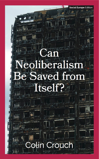# **B.** eoliberalism Saved from Itself?

## **Colin Crouch**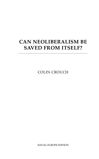### **CAN NEOLIBERALISM BE SAVED FROM ITSELF?**

COLIN CROUCH

SOCIAL EUROPE EDITION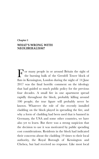#### **Chapter 1 WHAT'S WRONG WITH NEOLIBERALISM?**

F or many people in or around Britain the sight of the burning hulk of the Grenfell Tower block of flats in Kensington, London during the night of 14 June or many people in or around Britain the sight of the burning hulk of the Grenfell Tower block of 2017 was the final horrific comment on the ideology that had guided so much public policy for the previous four decades. A small fire in one apartment spread rapidly throughout the block, probably killing around 100 people; the true figure will probably never be known. Whatever the role of the recently installed cladding on the block played in spreading the fire, and why a form of cladding had been used that is banned in Germany, the USA and some other countries, we have also yet to learn. But there was a strong suspicion that the decision to use it was motivated by public spending cost considerations. Residents in the block had indicated their concerns about the cladding 19 times to their local authority, the Royal Borough of Kensington and Chelsea, but had received no response. Like most local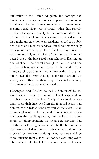authorities in the United Kingdom, the borough had handed over management of its properties and many of its other services to private companies with a mandate to maximise their shareholders' profits rather than provide services of a specific quality. In the hours and days after the fire, masses of volunteers came to the aid of the distraught and now homeless residents, as did the public fire, police and medical services. But there was virtually no sign of care workers from the local authority. By early August only ten families of the hundreds who had been living in the block had been rehoused. Kensington and Chelsea is the richest borough in London, and one of the richest residential areas in the world; large numbers of apartments and houses within it are left empty, owned by very wealthy people from around the world, who either use them very occasionally or keep them merely for their investment value.

Kensington and Chelsea council is dominated by the Conservative Party, the main political exponent of neoliberal ideas in the UK. Many of its wealthy resi‐ dents draw their incomes from the financial sector that dominates the British economy and whose success is an example of neoliberalism at work. It is central to neoliberal ideas that public spending must be kept to a mini‐ mum, including spending on social care services; that health and safety regulation should be the butt of sceptical jokes; and that residual public services should be provided by profit-maximising firms, as these will be more efficient than a local authority's own employees. The residents of Grenfell Tower were tenants of social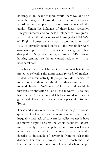housing. In an ideal neoliberal world there would be no social housing; people would live in whatever they could afford within the private market, irrespective of the quality. Under the influence of these ideas, successive UK governments and councils of all parties have gradu‐ ally run down the stock of social housing. (In 1981 32% of English homes were in such accommodation and  $11\%$  in privately rented homes – the remainder were owner-occupied. By 2016 the social housing figure had dropped to 7%, private renting had risen to 31%.) Social housing tenants are the unwanted residue of a preneoliberal past.

Neoliberalism also celebrates inequality, which is inter‐ preted as reflecting the appropriate rewards of marketrelated economic activity. If people consider themselves to be too poor, then they should see that as an incentive to work harder. One's level of income and wealth is therefore an indicator of one's social worth. A council like that of Kensington and Chelsea would not have a great deal of respect for residents of a place like Grenfell Tower.

These and many other instances of the negative consequences of a low tax, low regulation regime, with high inequality and lack of concern for collective needs have led many people to reject the whole neoliberal adven‐ ture; certainly to see the political and business leaders who have embraced it so whole-heartedly over the decades as incapable of saving it from its self-made disasters. For others, however, there is much that has been attractive about its vision of a world where people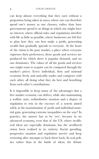can keep almost everything that they earn without a proportion being taken in taxes; where one can therefore spend one's money as one chooses, rather than have governments spend it on things in which one might have no interest; where official rules and regulations interfere with life as little as possible; where businesses are left free to plan how they can best make a profit, generating wealth that gradually spreads to everyone. At the heart of the vision is the pure market, a place where everyone expresses their preferences, those goods and services are produced for which there is popular demand, and no one dominates. The values of all the goods and services one might want to acquire can be compared through the market's prices. Every individual, firm and national economy freely and amicably trades and competes with each other, all doing what they do best and benefiting from each other's contributions.

Is it impossible to keep many of the advantages that a free market economy can deliver, while also maintaining a welfare state, redistributive taxation and a degree of regulation to rein in the excesses of a system aimed solely at the maximisation of profit and individual mate‐ rial gain, generating extreme inequalities on the way? In practice, the answer has to be 'yes', because in no advanced economy, even that of the US, where neolib‐ eral ideas are especially dominant, has the neoliberal vision been realised in its entirety. Social spending, progressive taxation and regulation survive and keep returning after attempts to hack them back. In real poli‐ tics rather than in the battle of ideas, the debate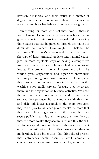between neoliberals and their critics is a matter of degree: not whether to retain or destroy the rival institutions at stake, but what balance to achieve among them.

I am writing for those who feel that, even if there is some element of compromise in place, neoliberalism has gone too far in making society unequal and in allowing those values that can be pursued through the market to dominate over others. How might the balance be redressed? That it *could* be redressed is clear: there is no shortage of ideas, practical policies and national exam‐ ples for more equitable ways of having a competitive market economy that also achieves a high level of social justice. The problem is one of power and will. The world's great corporations and super-rich individuals have major leverage over governments of all kinds, and they have a strong interest in low taxes (at least on the wealthy), poor public services (because they never use them) and low regulation of business activities. We need the jobs that the corporations create and the goods and services they produce. But the more wealth that they and rich individuals accumulate, the more resources they can deploy to influence governments; the more that they can influence governments, the more they can secure policies that suit their interests; the more they do that, the more wealth they accumulate; and thus the selfreinforcing spiral moves on. It seems that one can expect only an intensification of neoliberalism rather than its moderation. It is a bitter irony that this political process that entrenches neoliberalism is itself completely contrary to neoliberalism's own principles, according to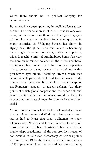which there should be no political lobbying for economic ends.

But cracks have been appearing in neoliberalism's glossy surface. The financial crash of 2007-8 was its very own crisis, and in recent years there have been growing signs of popular anger at neoliberalism's consequences in many countries. As Wolfgang Streeck has shown in *Buying Time*, the global economic system is becoming increasingly dependent on debt, public and private, which is reaching limits of sustainability. Some observers see here an imminent collapse of the entire neoliberal capitalist edifice. Some dream that this as an opportu‐ nity to create socialism, however that is defined in this post-Soviet age; others, including Streeck, warn that economic collapse could well lead to a far worse world than we experience now. It is therefore urgent to explore neoliberalism's capacity to accept reform. Are there points at which global corporations, the super-rich and governments under their influence would be likely to accept that they must change direction, or face recurrent crisis?

Various political forces have had to acknowledge this in the past. After the Second World War, European conservatives had to learn that their willingness to make alliances with Nazism and fascism in order to ward off mass democracy had been disastrous. They then became highly adept practitioners of the compromise strategy of conservative or Christian democracy. At various points starting in the 1950s the social democratic movements of Europe contemplated the ugly edifice that was being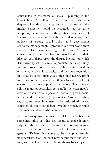constructed in the name of socialist planning in the Soviet bloc. At different speeds and with different degrees of enthusiasm they came to realise that the market economy should be accepted, not just as a temporary compromise with political realities, but because, when combined with social democrats' own policies of strong social policy and government economic management, it produced a better world than state socialism was achieving in the east. A similar conversion is now required of neoliberals. If their ideology is to depart from the destructive path on which it is currently set, they must appreciate that such things as progressive taxes, a strong welfare state aimed at enhancing economic capacity, and business regulation that enables us to pursue goals other than narrow profit maximisation are positive in themselves and not just occasional temporary political necessities. There would still be many opportunities for conflict between neolib‐ erals and their various (social democratic, green, social liberal and conservative) opponents. Agreement that, say, income inequalities need to be reduced still leaves considerable room for debate over how much, through what means and with what urgency.

For the past quarter century to call for the 'reform' of some institution or other has meant to make it more subject to the discipline of the market, to remove regulation, cut taxes and reduce the role of government in general. 'Reform' has come to be a euphemism for neoliberalism. Can the boot now be put on to the other foot, with neoliberal edifices being themselves subject to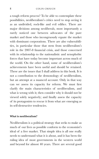a tough reform process? To be able to contemplate these possibilities, neoliberalism's critics need to stop seeing it as an undivided, rock-like and evil edifice. There are major divisions among neoliberals, most importantly a rarely noticed one between advocates of the pure market and those who incongruously equate the market with dominant corporations. There are also vulnerabilities, in particular those that stem from neoliberalism's role in the 2007-8 financial crisis, and those concerned with its relationship to the nationalistic and xenophobic forces that have today become important across much of the world. On the other hand, some of neoliberalism's achievements have been useful and should be retained. These are the issues that I shall address in this book. It is not a contribution to the demonology of neoliberalism, but an attempt at a nuanced account. Only in that way can we assess its capacity for reform. We must first clarify the main characteristics of neoliberalism, and what is wrong with it; then consider why it should not be viewed solely negatively; and finally assess the capacity of its protagonists to rescue it from what are emerging as its self-destructive tendencies.

#### **What is neoliberalism?**

Neoliberalism is a political strategy that seeks to make as much of our lives as possible conform to the economist's ideal of a free market. That simple idea is all one really needs to understand what it is about, and it has been the ruling idea of most governments in the western world and beyond for almost 40 years. There are several good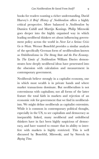books for readers wanting a richer understanding. David Harvey's *A Brief History of Neoliberalism* offers a highly critical perspective. More balanced is *Neoliberalism* by Damien Cahill and Martijn Konings. Philip Mirowski goes deeper into the highly organised way in which leading neoliberal thinkers set about influencing govern‐ ment policy across the world in *Never Let a Serious Crisis Go to Waste*. Werner Bonefeld provides a similar analysis of the specifically German form of neoliberalism known as *Ordoliberalismus* in *The Strong State and the Free Economy*. In *The Limits of Neoliberalism* William Davies demonstrates how deeply neoliberal ideas have penetrated into the obsession with calculation and measurement in contemporary government.

Neoliberals believe strongly in a capitalist economy, one in which most wealth is in private hands and where market transactions dominate. But neoliberalism is not coterminous with capitalism; not all forms of the latter feature the total faith in markets and rejection of an economic role for government that we find in neoliberal‐ ism. We might define neoliberals as capitalist extremists. While it is common in contemporary political thought, especially in the US, to see capitalism and democracy as inseparably linked, many neoliberal and ordoliberal thinkers have in fact been highly suspicious of democ‐ racy, and have wanted to ensure that its ability to interfere with markets is highly restricted. This is well discussed by Bonefeld, Mirowski, and by Streeck in *Buying Time.*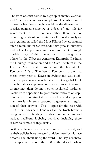The term was first coined by a group of mainly German and American economists and philosophers who wanted to avert what they thought would be the disasters of a socialist planned economy, or indeed of any role for government in the economy other than that of protecting capitalist competition itself. Based initially on an organisation called the Mont Pèlerin Society (named after a mountain in Switzerland), they grew in numbers and political importance and began to operate through a wide range of think tanks, such as, among many others (in the USA) the American Enterprise Institute, the Heritage Foundation and the Cato Institute; in the UK the Adam Smith Institute and the Institute for Economic Affairs. The World Economic Forum that meets every year at Davos in Switzerland was estab‐ lished to promulgate neoliberal ideas at a global level, though it allows expression of a wider range of views at its meetings than do most other neoliberal institutes. Neoliberals' opposition to government restraint on capi‐ talist activity has attracted the heavy financial support of many wealthy interests opposed to government regula‐ tion of their activities. This is especially the case with the US oil industry, billionaires like the Koch brothers being active in funding neoliberal organisations and various neoliberal lobbying activities, including those related to climate change denial.

As their influence has come to dominate the world, and as their policies have attracted criticism, neoliberals have become coy about using the word. The key neoliberal texts appeared before the 1980s, the decade when,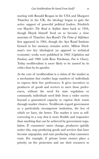starting with Ronald Reagan in the USA and Margaret Thatcher in the UK, the ideology began to gain the active support of powerful political leaders. Friedrich von Hayek's *The Road to Serfdom* dates back to 1944, though Hayek himself lived on to become a close associate of Thatcher. Ayn Rand's *The Virtue of Selfishness* first appeared in 1964, though the Ayn Rand Institute formed in her memory remains active. Milton Fried‐ man's two key ideological (as opposed to technical economic) works were published in 1962 (*Capitalism and Freedom)* and 1980 (with Rose Friedman, *Free to Choose*). Today neoliberalism is more likely to be named by its critics than by its apostles.

At the core of neoliberalism is a vision of the market as a mechanism that enables large numbers of individuals to express their free preferences. It gives incentives to producers of goods and services to meet those prefer‐ ences, without the need for state regulation or commands; individuals need little from a wider society beyond a guaranteed capacity to express their wants through market choices. Neoliberals regard government as a particularly incompetent institution, the less of which we have, the better. The market is seen as selfcorrecting in a way that is more flexible and responsive than anything that can be achieved by government regulation. If consumers' tastes change, producers quickly notice this, stop producing goods and services that have become unpopular, and start producing what customers want. For example, if private home owners place a priority on fire protection and use their resources to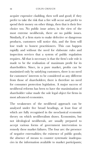acquire expensive cladding, then well and good; if they prefer to take the risk that a fire will occur and prefer to spend their money on other things, then that is their free choice too. No public issue arises; in the view of the most extreme neoliberals, there *are* no public issues. Similarly, if a firm starts to make defective or dangerous products, customers will notice this, and the firm will lose trade to honest practitioners. This can happen rapidly and without the need for elaborate rules and inspection services that a system of public regulation requires. All that is necessary is that the firm's sole role is made to be the realisation of maximum profit for its shareholders. Since, in a pure market, profits can be maximised only by satisfying customers, there is no need for customers' interests to be considered as any different from those of shareholders; there is therefore no need for consumer protection legislation. A major success of neoliberal reforms has been to have the maximisation of shareholder value made the sole legal object for firms in most advanced economies.

The weaknesses of the neoliberal approach can be analysed under five broad headings, at least four of which are fully recognised in the neoclassical economic theory on which neoliberalism draws. Economists, but not ideological neoliberals, are usually prepared to accept various forms of government intervention to remedy these market failures. The four are: the presence of negative externalities; the existence of public goods; the absence of means to counter systematic inadequacies in the information available to market participants;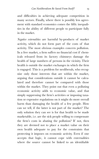and difficulties in achieving adequate competition in many sectors. Finally, where there is possibly less agreement with standard economics comes the fifth: inequalities in the ability of different people to participate fully in the market.

*Negative externalities* are harmful by-products of market activity, which do not form part of the costs of that activity. The most obvious examples concern pollution. In a free market, a firm suffers no financial cost if chem‐ icals released from its factory chimneys damage the health of large numbers of persons in the vicinity. Their health is outside the market exchanges in which the firm is engaged. This is a problem for neoliberals, who recognise only those interests that are within the market, arguing that considerations outside it cannot be calculated and therefore cannot be compared with those within the market. They point out that even a polluting economic activity adds to economic value, and that simply suppressing the firm's activities or imposing taxation or expensive regulations on it might do more overall harm than damaging the health of a few people. How can we tell, if the latter is not part of the market? The only solution they can see is for that health to be made marketable, i.e. are the sick people willing to compensate the firm's costs in abating the pollution? If not, then they are deemed not to place a market value on their own health adequate to pay for the constraints that protecting it imposes on economic activity. Even if one accepts that logic, it cannot cope with externalities where the source cannot be linked to an identifiable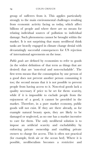group of sufferers from it. This applies particularly strongly to the main environmental challenges resulting from economic activity facing us today, which affect billions of people and where there are no means for relating individual sources of pollution to individual damage. Such phenomena cannot be brought within the market. It is not surprising that many neoliberal think tanks are heavily engaged in climate change denial with devastatingly successful consequences for US rejection of international agreements on the issue.

*Public goods* are defined by economists to refer to goods (in the widest definition of that term as things that are desired) that are 'non-rival and non-excludable'. The first term means that the consumption by one person of a good does not prevent another person consuming it too; the second means that it is not possible to prevent people from having access to it. Non-rival goods lack a quality necessary if price to be set for them: scarcity, while if it is impossible to exclude people from the enjoyment of a good, it cannot be provided in the market. Therefore, in a pure market economy, public goods will not exist. If they are there already, as for example natural beauty spots, they are likely to be damaged or neglected, as no one has a market incentive to care for them. The only neoliberal solution is to impose an artificial scarcity and excludability by enforcing private ownership and enabling private owners to charge for access. This is often not practical (for example, fresh air or the ocean bed). Where it is possible, neoliberalism becomes a restrictive and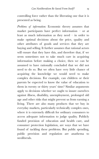controlling force rather than the liberating one that it is presented as being.

*Problems of information:* Economic theory assumes that market participants have perfect information – or at least as much information as they need – in order to make optimal decisions about the price, quality and other attributes of goods and services that they are buying and selling. It further assumes that rational actors will ensure that they have this, and therefore that, if we seem sometimes not to take much care in acquiring information before making a choice, then we can be assumed to have rationally concluded that we did not need to do so. But we often have very little chance of acquiring the knowledge we would need to make complex decisions. For example, can children or their parents be expected to know the value of education to them in twenty or thirty years' time? Similar arguments apply to decisions whether we ought to insure ourselves against illness, disability, unemployment, prolonged old age and other risks that might prevent us from earning a living. There are also many products that we buy in everyday markets, particularly technically complex ones, where it is extremely difficult for ordinary consumers to access adequate information to judge quality. Publicly funded provision of education and health care, and consumer protection legislation, are ways that we have found of tackling these problems. But public spending, public provision and regulation are anathema to neoliberals.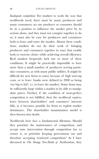*Inadequate competition:* For markets to work the way that neoliberals need, there must be many producers and many consumers; no one producer or consumer should be in a position to influence the market price by its actions alone, and they must not conspire together to do so; it must also be easy for producers and consumers both to leave and enter the market. Absent these conditions, markets do not do their work of bringing producers and consumers together in ways that enable both to exercise choice while achieving overall efficiency. Real markets frequently lack one or more of these conditions. It might be practically impossible to have more than a small number of producers serving particular consumers, as with many public utilities. It might be difficult for new firms to enter, because of high start-up costs, or to leave (banks were defined in 2008 as being 'too big to fail', i.e. to leave the market). Some firms may be sufficiently large within a market to be able to manipulate prices. Further, if the condition of near-perfect competition is not fulfilled, then the neoliberal equivalence between shareholders' and customers' interests falls, as it becomes possible for firms to exploit market dominance. The shareholder maximisation model is then thrown into doubt.

Neoliberals here face a fundamental dilemma. Should they prioritise the maintenance of competition, and accept state intervention through competition law to ensure it, or prioritise keeping government out and therefore accepting restricted competition? As I have discussed in *The Strange Non-Death of Neoliberalism*, they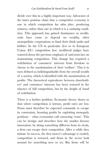divide over this in a highly important way. Advocates of the latter position claim that a competitive economy is one in which competition *has taken place*, producing winners, rather than one in which it is a *continuing* condition. This approach has gained dominance as neoliberals have come to depend on wealthy, often monopolistic corporations to fund their think tanks and lobbies. In the US in particular (less so in European Union (EU) competition law) neoliberal judges have watered down the previous emphasis of anti-trust law on maintaining competition. This change has required a redefinition of customers' interests from freedom to choose to the maximisation of their 'welfare'. This is in turn defined as indistinguishable from the overall wealth of a society, which is identified with the maximisation of profits. The theoretical equivalence between sharehold‐ ers' and customers' interests has been restored in the absence of full competition, but by the sleight of hand of redefinition.

There is a further problem. Economic theory shows us that where competition is intense, profit rates are low. Firms must therefore be expected constantly to escape its constraints, boosting profits by exploiting monopoly positions – what economists call extracting 'rents'. This can be benign and describes how the market favours innovation: by doing something different from its rivals, a firm can escape their competition. After a while they imitate its success, the first mover's advantage is eroded, competition is restored, and firms in the sector look around for something new to try. But firms will be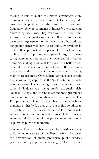seeking means to make first-mover advantages more permanent. Generous patent and intellectual copyright laws can help them do this, and so corporations frequently lobby governments to intensify the protection afforded by these laws. They can also benefit from what are known as 'network externalities'. If a first mover can develop a large network of contacts around its products, competitor firms will have great difficulty rivalling it, even if their products are superior. This is a long-term problem, with important examples of large manufacturing companies that set up their own retail distribution networks, making it difficult for rivals with better prod‐ ucts but unable to set up chains of shops. But the Inter‐ net, which is after all an epitome of networks, is creating many more instances. Once a firm has reached a certain size, it will always appear as the 'go to' site on the web. Serious monopolies are being created in this way, and some individuals are being made extremely rich. Amazon, Google and Facebook are the most prominent names among them, but there are many others. The European Court of Justice, which has a strong neoliberal mandate in this field, works at trying to find solutions to the problem, but that takes time and is far from easy to achieve. Some very important sectors of the modern economy fall far short of the pure competition model required by pure neoliberalism.

Similar problems have been created by a further ironical twist. A major success of neoliberal reforms has been the privatisation of many previously public services (such as railways, postal services, gas, electricity and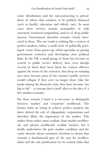water distribution) and the sub-contracting to private firms of others that continue to be publicly financed (such as health, education and elderly care). In most cases these services remain monopolies or with extremely restricted competition, and/or of deep public interest. Government therefore remains closely inter‐ ested in them. The net result is nothing like a system of perfect markets; rather, a small circle of politically privi‐ leged 'crony' firms grows up, which specialise in getting government contracts and developing close political links. In the UK a small group of firms has become so central to public service delivery that, even though several of them have been fined for various offences against the terms of the contracts, they keep on winning new ones, because parts of the country's public services would collapse if they were no longer there. Like the banks during the financial crisis, they have become 'too big to fail' – a concept that is itself alien to the idea of a free market economy.

For these reasons I insist it is necessary to distinguish between 'market' and 'corporate' neoliberals. The former insist on trying to achieve perfect markets; the latter defend the role of oligopolistic corporations and therefore dilute the importance of the market. This makes them rather more realistic than market neoliberals, and pleases neoliberals' wealthy backers, but it fatally undermines the pure market condition and the entire rhetoric about customers' freedom to choose that remains a fundamental part of the case for neoliberalism and the sole justification for its central claim that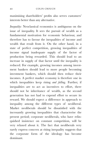maximising shareholders' profits also serves customers' interests better than any alternative.

*Inequality:* Neoclassical economics is ambiguous on the issue of inequality. It sees the pursuit of wealth as a fundamental motivation for economic behaviour, and therefore has to favour the inequalities of income and wealth that result from it. On the other hand, in a state of perfect competition, growing inequalities of income signal inadequate supply of the factor of production being rewarded. This should lead to an increase in supply of that factor until the inequality is reduced. For example, growing incomes among invest‐ ment bankers should lead to more people becoming investment bankers, which should then reduce their incomes. A perfect market economy is therefore one in which inequalities keep rising *and falling*. Further, if inequalities are to act as incentives to effort, there should not be inheritance of wealth, as the second generation has not had to expend effort to secure its reward. We should expect a difference in approach to inequality among the different types of neoliberal. Market neoliberals should be dissatisfied with the incessantly growing inequalities that characterise the present period; corporate neoliberals, who have relin‐ quished insistence on constant competition, will be very relaxed about it. The fact that neoliberals very rarely express concern at rising inequality suggests that the corporate form of the ideology has become dominant.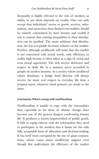Inequality is highly relevant to the role of markets, as ability to use them depends on wealth. One can only accept that individuals' access to goods, services, infor‐ mation, and protection from limited externalities should be entirely constrained by their income and wealth if one is content that existing inequalities in their distribu‐ tion can be justified. The more arbitrary that distribu‐ tion, the less acceptable becomes reliance on the market. Further, although neoliberals will insist that the market is not concerned with moral worth, only efficiency, in reality high income is often taken as a sign of social and even moral superiority. The rich receive deference and respect in daily life in a manner never accorded to people on modest incomes. In a society where neoliberal values dominate, a hedge fund director will always receive far more real respect in everyday life than a hospital nurse, whatever ritual gestures are made to the latter.

#### **Conclusion: What's wrong with neoliberalism**

Neoliberalism is unable to cope with the externalities that, especially in the form of climate change, have become one of the gravest dangers confronting human life. It produces a society impoverished of public goods. It fails to equip citizens with the information they need to participate in the markets that it insists are the only fully acceptable form of allocation and decision-making. It has itself been corrupted by the rise of giant corpora‐ tions, whose cause many neoliberals support even though this undermines the efficiency of the market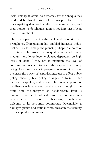itself. Finally, it offers no remedies for the inequalities produced by this distortion of its own pure form. It is not surprising that neoliberalism has many critics; and that, despite its dominance, almost nowhere has it been totally triumphant.

This is the pass to which the neoliberal revolution has brought us. Deregulation has enabled intensive indus‐ trial activity to damage the planet, perhaps to a point of no return. The growth of inequality has made many medium- and lower-income citizens dependent on high levels of debt if they are to maintain the level of consumption needed to keep the capitalist economy going. A vicious spiral is in progress: increased inequality increases the power of capitalist interests to affect public policy; these public policy changes in turn further increase inequality; and so on. The political power of neoliberalism is advanced by this spiral, though at the same time the integrity of neoliberalism itself is damaged: the use of political power for economic ends is anathema to market neoliberalism, though very welcome to its corporate counterpart. Meanwhile, a damaged planet and static incomes threaten the viability of the capitalist system itself.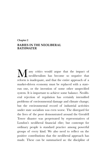#### **Chapter 2 BABIES IN THE NEOLIBERAL BATHWATER**

M any critics would argue that the impact of<br>neoliberalism has become so negative that neoliberalism has become so negative that reform is inadequate, and that the entire approach of a market-driven economy must be replaced with a staterun one, or the invention of some other unspecified system. It is important to achieve some balance. Neoliberal rejection of regulation has certainly intensified problems of environmental damage and climate change; but the environmental record of industrial activities under state socialism was even worse. The disregard for the lives of the poor demonstrated around the Grenfell Tower disaster was perpetrated by representatives of London's neoliberal financial elite; but contempt for ordinary people is standard practice among powerful groups of every kind. We also need to reflect on the positive contributions that the neoliberal approach has made. These can be summarised as: the discipline of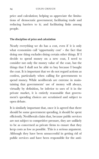price and calculation; helping us appreciate the limitations of democratic government; facilitating trade and reducing barriers to it; and facilitating links among people.

#### **The discipline of price and calculation**

Nearly everything we do has a cost, even if it is only what economists call 'opportunity cost' - the fact that doing one thing excludes doing certain other things. If I decide to spend money on a new coat, I need to consider not only the money value of the coat, but the things that I shall not be able to buy because I bought the coat. It is important that we do not regard actions as costless, particularly when calling for governments to spend money. While neoliberals are extreme in maintaining that governments' use of money will always, virtually by definition, be inferior to uses of it in the private market, it is entirely reasonable that government's spending choices are scrutinised and subject to open debate.

It is similarly important that, once it is agreed that there should be some government spending, it should be spent efficiently. Neoliberals claim that, because public services are not subject to competitive pressure, they are unlikely to be as concerned as private firms to ensure that they keep costs as low as possible. This is a serious argument. Although they have been unsuccessful in getting rid of public services and have been responsible for the anti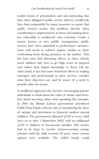market forms of privatisation and sub-contracting that have often disfigured public service delivery, neoliberals have been responsible for many measures to ensure that public services resolve this problem, thereby often contributing to improvements in them and making them less vulnerable to neoliberals' own criticisms. Under a system known as new public management, public services have been submitted to performance measure‐ ment and needs to achieve targets, similar to those confronting firms facing pressures in the market. This has had some bad distorting effects, as when schools teach children only how to get high scores in targeted tests rather than impart knowledge to them. On the other hand, it has had some beneficial effects in making managers and professionals in these services consider what their objectives are, and be aware of a need to provide value for money.

A neoliberal approach also involves encouraging private individuals to think about the value of money and there‐ fore about investing rather than spending. For example, in 2005 the British Labour government introduced Child Trust Funds, with the aim of introducing the ideas of savings and investment in financial markets among children. The government allocated  $\angle$  (250 to every child born on or after 1 September 2002, with an additional  $\angle$  (250 to children in low-income families. The money had to be kept in tax-free interest-earning savings schemes until the child reached 18 years, when various options were available. The child's family could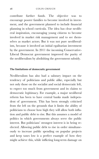contribute further funds. The objective was to encourage poorer families to become involved in invest‐ ment, and the government planned to include financial planning in school curricula. The idea has clear neoliberal inspiration, encouraging young citizens to become involved in market risk management and to see them‐ selves as market actors. But it was not pure neoliberal‐ ism, because it involved an initial egalitarian investment by the government. In 2011 the incoming Conservative-Liberal Democrat government improved the purity of the neoliberalism by abolishing the government subsidy.

#### **The limitations of democratic government**

Neoliberalism has also had a salutary impact on the tendency of politicians and public alike, especially but not only those on the socialist and social democratic left, to expect too much from government and its claims to democratic legitimacy. For example, a major neoliberal reform has been to have central banks made indepen‐ dent of government. This has been strongly criticised from the left on the grounds that it limits the ability of politicians to choose how high they will allow both infla‐ tion and public debt to rise. But this assumes a model of politics in which governments always serve the public interest. But politicians' strongest interest is in being reelected. Allowing public debt to rise in order simultane‐ ously to increase public spending on popular projects and keep taxes low is a perfect example of how they might achieve this, while inflicting long-term damage on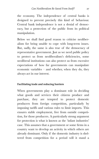the economy. The independence of central banks is designed to prevent precisely this kind of behaviour. Central bank independence is not a denial of democ‐ racy, but a protection of the public from its political manipulation.

Below we shall find good reason to criticise neoliber‐ alism for being unable to cope with long-term issues. But, sadly, the same is also true of the democracy of representative government. Just as we need public policy to protect us from neoliberalism's deficiencies, some neoliberal institutions can also protect us from excessive expectations of how far governments can manipulate economic variables – and whether, when they do, they always act in our interest.

#### **Facilitating trade and reducing barriers**

When governments play a dominant role in deciding what goods and services their citizens produce and purchase, they are tempted to protect domestic producers from foreign competition, particularly by imposing tariffs and various rules to limit imports. This ensures stable employment, free from outside competi‐ tion, for those producers. A particularly strong argument for protection is what is known as the 'infant industries' case. This assumes that a government or some firms in a country want to develop an activity in which others are already dominant. Only if the domestic industry is sheltered from competition for a period will it stand a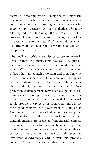chance of becoming efficient enough in the longer run to compete. A further reason for protection occurs when competing countries are making goods and services far more cheaply because they are exploiting labour or allowing industries to damage the environment. If low costs are always the key to competitiveness, there will be a constant 'race to the bottom' of low standards, unless countries with high labour and environmental standards can protect themselves.

The neoliberal critique enables us to see some weak‐ nesses in these arguments. First, how can it be guaran‐ teed that protection will be used only for the purposes stated? When will a government decide that an infant industry has had enough protection and should now be exposed to competition? How can one distinguish between labour being exploited and labour being cheaper simply because it is more efficient? Once protectionist arrangements have been set up, close rela‐ tions usually develop between government and the leading firms in the industries concerned. The latter will rarely propose the removal of protection, and will use their good contacts with government to maintain it. Consumers then face prices higher than necessary, and the industries have little incentive to innovate, as their domestic markets are protected from external competi‐ tors. When such industries are finally forced to give up protection, and consumers are free to choose goods and services on the open market, their cost, efficiency and innovation disadvantages lead to crisis and probable collapse. Major examples of this process occurred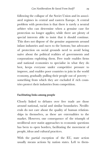following the collapse of the Soviet Union and its associated regimes in central and eastern Europe. A central problem with protection is that there is rarely a neutral arbiter who can determine when a genuine case for protection no longer applies; while there are plenty of special interests able to insist that it should continue. This does not dispose of the genuine arguments around infant industries and races to the bottom; but advocates of protection on social grounds need to avoid being naïve about the political realities of governments and corporations exploiting them. Free trade enables firms and national economies to specialise in what they do best, keeps everyone under competitive pressure to improve, and enables poor countries to join in the world economy, gradually pulling their people out of poverty – something from which they are excluded if rich countries protect their industries from competition.

#### **Facilitating links among people**

Closely linked to debates over free trade are those around national, racial and similar boundaries. Neolib‐ erals do not care about the quality of human relation‐ ships in themselves, as these are externalities to the market. However, one consequence of the triumph of neoliberal over statist approaches to economic questions has been to open borders, facilitating the movement of people, ideas and cultural practices.

With the partial exception of the EU, state action usually means actions by nation states. Left to them-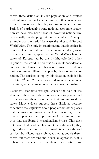selves, these define an insider population and protect and enhance national characteristics, either in isolation from or sometimes in hostility to those of other nations. Periods of particularly strong national economic protec‐ tionism have also been those of powerful nationalism, occasionally overlapping into open conflict. A major example was the period between the First and Second World Wars. The only internationalism that flourishes in periods of strong national rivalry is imperialism, as in the decades running up to the First World War when the states of Europe, led by the British, colonised other regions of the world. There was as a result considerable cultural interchange, but always on terms of the domi‐ nation of many different peoples by those of one core nation. The tensions set up by this situation exploded in the late  $19<sup>th</sup>$  and  $20<sup>th</sup>$  centuries in demands for national liberation, which in turn unleashed its own nationalisms.

Neoliberal economic strategies weaken the hold of the state, and therefore reduce divisions among people and restrictions on their movements that are imposed by states. Many citizens support these divisions, because they share the suspicions about people from other places that centuries of nationalism have encouraged; but others appreciate the opportunities for extending their lives that neoliberal internationalism brings. This does not mean that neoliberals cannot be nationalists; they might draw the line at free markets in goods and services, but discourage exchanges among people themselves. But there are tensions in such an approach, as it is difficult in practice to maintain such distinctions.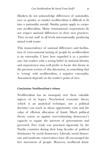Markets do not acknowledge differences of nationality, race or gender, so market neoliberalism is difficult to fit into a nationalist mould. Similar points apply to corporate neoliberalism. Many transnational corporations do not respect national differences in their own practices. They recruit staff at all levels internationally, producing mixed work teams.

This transcendence of national differences and facilitation of cross-national mixing of people by neoliberalism is an externality. I have here regarded it as a positive one, but readers with a strong belief in national identity and separateness may well prefer to locate this theme in the previous section of this discussion, as something that is 'wrong' with neoliberalism, a negative externality. Assessment depends on the reader's point of view.

#### **Conclusion: Neoliberalism's virtues**

Neoliberalism has no monopoly over these valuable aspects of its legacy. Neoclassical economic theory (which is an analytical technique, not a political doctrine) can teach us about opportunity costs and the value of efficient allocation of funds. Much political theory warns us against over-estimating democracy's capacity to equate the interests of governments and governed. Free trade was practised rigorously by the Nordic countries during their long decades of political dominance by social democracy. Liberals, social democ‐ rats and moderate conservatives have all encouraged the free movement of people. However, neoliberal domi‐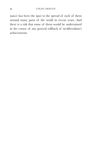nance has been the spur to the spread of each of them around many parts of the world in recent years. And there is a risk that some of them would be undermined in the course of any general rollback of neoliberalism's achievements.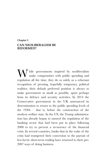#### **Chapter 3 CAN NEOLIBERALISM BE REFORMED?**

W hile governments inspired by neoliberalism<br>make compromises with public spending and make compromises with public spending and regulation all the time, they do so solely as a reluctant recognition of pressing, hopefully temporary, political realities; their default preferred position is always to make government as small as possible, apart perhaps from its defence and security activities. In 2014 the Conservative government in the UK announced its determination to return to the public spending levels of the 1930s – that is, before the construction of the modern welfare state. In the US, the Trump administration has already begun to unravel the regulation of the banking sector that had been put in place following 2008 to try to prevent a recurrence of the financial crisis. In several countries, banks that in the wake of the crisis had trumpeted their conversion to the pursuit of less hectic short-term trading have returned to their pre-2007 ways of doing business.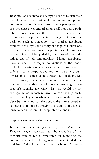Readiness of neoliberals to accept a need to reform their model rather than just make occasional temporary concessions would have to result from a perception that the model itself was embarked on a self-destructive path. That however assumes the existence of persons and institutions in a position to take strategic action on the basis of such a perception. For market neoliberal thinkers, like Hayek, the beauty of the pure market was precisely that no one was in a position to take strategic action: life would be guided by the mass of tiny indi‐ vidual acts of sale and purchase. Market neoliberals have no answer to major malfunctions of the model itself. The position of corporate neoliberalism is rather different; some corporations and very wealthy groups are capable of either taking strategic action themselves or of urging governments to do so. Therefore the first question that needs to be addressed in assessing neoliberalism's capacity for reform is: who would be the strategic actors in such reform? We can then go on to address two key areas where such actors might in prin‐ ciple be motivated to take action: the threat posed to capitalist economies by growing inequality; and the chal‐ lenge to neoliberalism of xenophobic nationalism.

#### **Corporate neoliberalism's strategic actors**

In *The Communist Manifesto* (1848) Karl Marx and Friedrich Engels asserted that 'the executive of the modern state is but a committee for managing the common affairs of the bourgeoisie'. It was intended as a criticism of the limited social responsibility of govern‐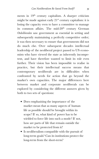ments in 19<sup>th</sup> century capitalism. A sharper criticism might be made against early  $21<sup>st</sup>$  century capitalism: it is losing the capacity even to have a committee to manage its common affairs. The mid-20<sup>th</sup> century German *Ordoliberalen* saw government as essential in setting and subsequently maintaining a perfectly competitive order; it was then necessary to ensure that governments did not do much else. Over subsequent decades intellectual leadership of the neoliberal project passed to US econo‐ mists who have viewed the state as inherently incompe‐ tent, and have therefore wanted to limit its role even further. Their vision has been impossible to realise in practice, but their intellectual success means that contemporary neoliberals are in difficulties when confronted by needs for action that go beyond the market's own capacities. The major differences here between market and corporate neoliberals can be explored by considering the different answers given by both to two sets of questions:

- Does emphasising the importance of the market mean that as many aspects of human life as possible should be brought within its scope? If so, what kind of power has to be wielded to force life into such a mode? If not, how are parts of life that remain outside the market to be protected from it?
- Is neoliberalism compatible with the pursuit of long-term goals? Can its institutions protect the long-term from the short-term?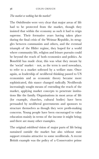# *The market or nothing but the market?*

The *Ordoliberalen* were very clear that major areas of life had to be protected from the market, though they insisted that within the economy as such it had to reign supreme. Their formative years having taken place during the final crisis of the Weimar Republic, its struggles between communists and others, and the eventual triumph of the Hitler regime, they hoped for a world where community life, religion and leisure pursuits could be beyond the reach of both economics and politics. As Bonefeld has made clear, this was what they meant by the 'social' market – not, as the term is used nowadays, to refer to a market softened by a welfare state. Once again, as leadership of neoliberal thinking passed to US economists and as economic theory became more sophisticated, this stance changed radically. Neoliberals increasingly sought means of extending the reach of the market, applying market concepts to penetrate institutions like the family. Organisations in most areas of life (for example, churches, cultural bodies) have been persuaded by neoliberal governments and sponsors to structure themselves as though they were profit-making concerns. Young people have been encouraged to value education mainly in terms of the income it might bring; and there are many other examples.

The original *ordoliberal* vision of major parts of life being sustained outside the market but also without state support remains attractive to some neoliberals. A recent British example was the policy of a Conservative prime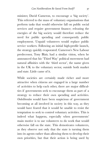minister, David Cameron, to encourage a 'big society'. This referred to the mass of voluntary organisations that perform tasks that would otherwise fall on public social services and require government finance; releasing the energies of the big society would therefore reduce the need for public spending and consequently public employment. Unpaid volunteers would replace public service workers. Following an initial high-profile launch, the strategy quickly evaporated. Cameron's New Labour predecessor, Tony Blair, had a similar vision, when he announced that his 'Third Way' political movement had natural affinities with the 'third sector', the name given in the UK to the voluntary sector, outside both market and state. Little came of it.

While societies are certainly made richer and more attractive when citizens are engaged in a large number of activities to help each other, there are major difficul‐ ties if governments seek to encourage them as part of a strategy to reduce their own spending and activities. *Ordoliberalen* would have been suspicious of government becoming at all involved in society in this way, as they would have feared that it would be unable to resist the temptation to seek to control voluntary activities. This is indeed what happens, especially when governments' main motive is to use volunteers to do work that would otherwise fall on the state. This demotivates volunteers, as they observe not only that the state is turning them into its agents rather than allowing them to develop their own priorities, but that their action is being used by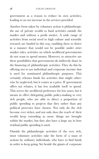government as a reason to reduce its own activities, leading to no net increase in the services provided.

Another form taken by voluntary action is philanthropy: the use of private wealth to fund activities outside the market and without a profit motive. A wide range of activities from social need to high culture and scientific research are funded in this way, enabling these to thrive in a manner that would not be possible under strict market rules, activities on which neoliberal governments do not want to spend money. However, so attractive are these possibilities that governments do indirectly share in the financing of philanthropic activities. They do this by offering not to tax individual and corporate income that is used for nominated philanthropic purposes. This certainly releases funds for activities that might other‐ wise be neglected, but it comes at a price. If government offers tax rebates, it has less available itself to spend. This serves the neoliberal preference for low taxes, but it means in effect delegating public policy-making to very rich people, who are able to direct a proportion of public spending to projects that they rather than any political processes have chosen. Not only do the rich become ever richer, and not only does the reach of their wealth keep extending as more things are brought within the market, but they also have a large say in how residual public spending is used.

Outside the philanthropic activities of the very rich, most voluntary activities take the form of a mass of actions by ordinary individuals, who have to find funds in order to keep going. Set beside the giants of corporate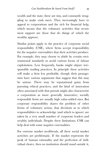wealth and the state, these are tiny, and constantly struggling to make ends meet. They increasingly have to appeal to corporations and the rich for financial help, which means that the voluntary activities that secure most support are those that do things of which the wealthy approve.

Similar points apply to the practice of corporate social responsibility (CSR), where firms accept responsibility for the negative externalities that their activities produce. For example, they may choose to abide by certain environmental standards or avoid various forms of labour exploitation. Less frequently, banks might abjure irre‐ sponsible trading practices. In principle these activities will make a firm less profitable, though their protagonists have various arguments that suggest that this may be untrue. There may be reputational gains from pursuing ethical practices, and the kind of innovation often associated with that pursuit might also characterise a corporation as more generally innovative; socially responsible firms are usually high value-added ones. But corporate responsibility shares the problem of other forms of voluntary action, that decisions as to which responsibilities to acknowledge (and which to ignore) are taken by a very small number of corporate leaders and wealthy individuals. Despite these limitations, CSR can help deal with some negative externalities.

For extreme market neoliberals, all these social market activities are problematic. If the market represents the peak of human rationality and the perfection of indi‐ vidual choice, then no institution should stand outside it,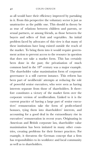as all would have their efficiency improved by partaking in it. From this perspective the voluntary sector is just as unattractive as the public one. This should in theory be as true of relations between children and parents, or sexual partners, or among friends, as those between the buyers and sellers of fruit and vegetables. An initial problem faced by advocates of this view is that many of these institutions have long existed outside the reach of the market. To bring them into it would require govern‐ ment action to prevent access to the resource in question that does not take a market form. This has certainly been done in the past; the privatisation of much common land in the  $18<sup>th</sup>$  century was a major example. The shareholder value maximisation form of corporate governance is a still current instance. This reform has been part of neoliberals' attempts at reducing the role of powerful senior executives, who were seen as having interests separate from those of shareholders. It there‐ fore constitutes a victory of the market form over the corporate version of neoliberalism. Linked to it is the current practice of having a large part of senior executives' remuneration take the form of profit-related bonuses, tying them into shareholders' interests, and accounting for a good deal in the extraordinary rise in executives' remuneration in recent years. Originating in American and British corporate law, shareholder value maximisation has been imitated in many other coun‐ tries, creating problems for their former practices. For example, it threatens the German concept that a firm has responsibilities to its workforce and local community as well as to shareholders.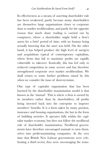Its effectiveness as a means of asserting shareholder rule has been weakened, partly because many shareholders are themselves large organisations closer to corporate than to market neoliberalism, and partly for the opposite reason that much share trading is carried out by computers, where a shareholder might hold a firm's assets for a brief period of time, with no human being actually knowing that the asset was held. On the other hand, it has helped produce the high level of mergers and acquisitions typical of contemporary capitalism, where firms that fail to maximise profits are rapidly vulnerable to takeover. Ironically, this has led only to reduced competition in some sectors and has therefore strengthened corporate over market neoliberalism. We shall return to some further problems raised by this when we consider the issue of short-termism.

One type of capitalist organisation that has been harmed by the shareholder maximisation model is that known as the 'mutual'. This is where a firm is owned by its members rather than by shareholders, all profits being invested back into the enterprise to improve members' benefits. It is a form taken by many pension, insurance and housing organisations, the last in the form of building societies. It operates fully within the capi‐ talist market economy, but does not follow the neoliberal rule of shareholder maximisation. Neoliberal govern‐ ments have therefore encouraged mutuals to turn themselves into profit-maximising companies. At the very time that British New Labour governments were celebrating a third sector, they were encouraging the trans‐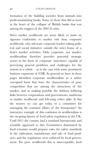formation of the building societies from mutuals into profit-maximising banks. Some of those that did so were at the heart of the collapse of British banks that was among the triggers of the 2007-8 crisis.

Strict market neoliberals are more likely to insist on rigorous conformity to market rule than corporate neoliberals, who advocate corporate leaders taking polit‐ ical and social initiatives outside the strict frame of a firm's market activities. Only corporate, not market, neoliberalism therefore provides potential strategic actors in the form of corporate 'statesmen' capable of perceiving general problems and challenges for the system as a whole  $-$  as is the case with some prominent business exponents of CSR. In general we have in these pages identified corporate neoliberalism as a rather corrupted form that loses the characteristics of pure competition that are among the attractions of the market, and as making possible the dubious lobbying links between corporations and governments, anathema to market neoliberals and left-wing critics alike. Is this the nearest we can get today to a committee for managing the common affairs of the bourgeoisie? An instructive example of this confusion in neoliberalism is the on-going history of food safety regulation in the UK. Until 2011 the country had a standard bureaucratic and scientific approach to this. Committees dominated by food scientists would prepare rules for safety standards in the cultivation, manufacture and sale of food prod‐ ucts; and the regulations were enforced by local govern‐ ment. For pure neoliberals this is unacceptable; food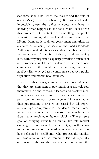standards should be left to the market and the rule of *caveat emptor* (let the buyer beware). But this is politically impossible given the difficulty consumers have in knowing what happens in the food chain. Faced with this problem but insistent on dismantling the public regulation system, the neoliberal Conservative and Liberal Democratic coalition government embarked on a course of reducing the scale of the Food Standards Authority's work, diluting its scientific membership with representatives of the food industry; and weakening local authority inspection capacity, privatising much of it and promising light-touch regulation to the main food companies. In this highly incoherent way, corporate neoliberalism emerged as a compromise between public regulation and market neoliberalism.

Under neoliberalism governments have lost confidence that they are competent to play much of a strategic role themselves; do the corporate leaders and wealthy indi‐ viduals who have access to them have any incentives to persuade them to work for some general interests rather than just pressing their own concerns? But this repre‐ sents a major compromise for the idea of market domi‐ nance, and becomes a key question as neoliberalism faces major problems of its own viability. The extreme goal of bringing virtually all human life into market exchanges is impossible to realise. But, given the enormous dominance of the market in a society that has been reformed by neoliberals, what protects the viability of those areas of life that remain outside it, especially once neoliberals have also succeeded in residualising the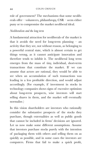role of government? The mechanisms that some neoliberals offer – volunteers, philanthropy, CSR – seem either puny or to compromise the market neoliberal ideal.

## *Neoliberalism and the long term*

A fundamental attraction for neoliberals of the market is that it avoids the need for long-term planning – an activity that they see, not without reason, as belonging to a powerful central state, which is almost certain to get things wrong, as it cannot anticipate innovation and therefore tends to inhibit it. The neoliberal long term emerges from the mass of tiny, individual, short-term transactions that constitute the market. If we can assume that actors are rational, they would be able to see when an accumulation of such transactions was leading in a less profitable direction, and would adjust accordingly. (For example, if investment in stocks in technology companies shows signs of excessive optimism about long-term prospects, wise investors will start selling shares in them, and the market will eventually normalise.)

In this vision shareholders are investors who rationally consider the substantive prospects of the stocks they purchase, though externalities as well as public goods that cannot be included in firms' decisions are ignored. Let us now make some different assumptions. Assume that investors purchase stocks purely with the intention of packaging them with others and selling them on as quickly as possible, and in some cases the investors are computers. Firms that fail to make a quick profit,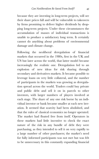because they are investing in long-term projects, will see their share prices fall and will be vulnerable to takeovers by firms promising to deliver higher dividends by drop‐ ping long-term projects. Under these circumstances the accumulation of masses of individual transactions is unable to produce a satisfactory long term. It certainly cannot do anything about problems of environmental damage and climate change.

Following the neoliberal deregulation of financial markets that occurred in the 1980s, first in the UK and US but later across the world, that latter model became increasingly the realistic one. Deregulation led to an explosion of new ideas for risk sharing through secondary and derivatives markets. It became possible to leverage loans on very little collateral, and the number of participants in the markets was growing as deregula‐ tion spread across the world. Traders could buy private and public debt and sell it on in parcels to other investors, with larger numbers of players involved at each stage. The share of any one risk borne by an individual investor or bank became smaller at each new iter‐ ation. It seemed that scarcity had been abolished, and that the rules of classical economics no longer operated. The market had floated free from itself. Operators in these markets had little incentive to check the exact nature of the risk in any bundle of debt they were purchasing, as they intended to sell it on very rapidly to a large number of other purchasers; the market's need for fully informed participants was not met but was felt to be unnecessary in this constantly expanding financial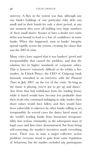universe. A flaw in the system was that, although any one bank's holdings of one particular risky debt was small and in their hands for only a short period, at any one moment they were all holding very large numbers of these small shares. Sooner or later a doubt over some debts was bound to lead to a loss of confidence in some banks. When this happened, trust in banks' integrity spread rapidly across the system, creating the chaos that was the 2007-8 crisis.

Many critics have argued that it was bankers' greed and irresponsibility that caused the problem, and that the solution lies in higher standards of corporate ethics. This is however extremely difficult to do within a free market. As Chuck Prince, the CEO of Citigroup bank famously remarked in an interview with the *Financial Times* in July 2007, on the eve of the crisis: 'As long as the music is playing, you've got to get up and dance'. Any firms that had withdrawn from the trading frenzy while it lasted would have become less profitable than their rivals who continued indulging in risky trades; their share values would have fallen; and they would have been vulnerable to takeover by other banks willing to act irresponsibly. In several cases the dance lured many of the world's leading banks from insouciant irresponsi‐ bility into serious criminality, as the subsequent mass of legal cases and fines have demonstrated. Far from being self-correcting, the market's incentives made everything worse. There was, in sum, a major collective action problem: everyone stood to gain from some regulation of behaviour, but the market excluded any participants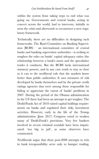within the system from taking steps to end what was going on. Governments and central banks, acting in concert across the world, had to intervene, initially to stem the crisis and afterwards to reconstruct a new regulatory framework.

Technically, there are no difficulties in designing such frameworks. The Basel Committee on Banking Supervi‐  $sion (BCBS)$  – an international committee of central banks and banking supervision authorities - is seeking to toughen the rules on banks' capital adequacy ratios (the relationship between a bank's assets and the speculative trades it conducts). But the BCBS lacks international statutory powers, and in any case tends to stay as close as it can to the neoliberal rule that the markets know better than public authorities. It uses measures of risk developed by banks themselves and by the private credit ratings agencies that were among those responsible for failing to appreciate the extent of banks' problems in 2007. During the period of the Obama administration in the US there had been an attempt to get tougher. The Dodd-Frank Act of 2010 raised capital holdings require‐ ments on banks and regulated their risky investment activities. However, early in the life of the Trump administration (June 2017) Congress voted to weaken many of Dodd-Frank's provisions. Very few bankers involved in recent criminal scandals have been impris‐ oned: 'too big to jail', as some observers have commented.

Neoliberals argue that these post-2008 attempts to rein in bank irresponsibility serve only to hamper trading,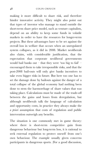making it more difficult to share risk, and therefore hinder innovative activity. They might also point out that types of investor who manage to stand outside the short-term share price model, such as venture capitalists, depend on an ability to keep some funds in volatile markets in order to have the resources for longer-term projects. But these advantages have to be set against the overall loss in welfare that occurs when an unregulated system collapses, as it did in 2008. Market neoliberals also claim, with considerable justification, that the expectation that corporate neoliberal governments would bail banks out – that they were 'too big to fail' – encouraged them to take irresponsible risks, and that the post-2008 bail-outs will only give banks incentives to take even bigger risks in future. But here too one has to set the damage done by bailouts against the danger of a total collapse of the global economy had nothing been done to stem the haemorrhage of share values that was taking place. Calculations must be made of the trade-off between the gains and losses from deregulation, but although neoliberals talk the language of calculation and opportunity costs, in practice they always make the *a priori* assumption that costs of regulation and public intervention outweigh any benefits.

The situation is one commonly met in game theory: where there is short-term competitive gain from dangerous behaviour but long-term loss, it is rational to seek external regulation to protect oneself from one's own behaviour. The example usually given concerns participants in dangerous sports. (For a good discussion,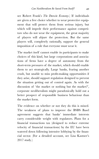see Robert Frank's *The Darwin Economy*.) If individuals are given a free choice whether to wear protective equip‐ ment that will protect them from serious injury, but which will impede their performance against competitors who do not wear the equipment, the great majority of players will abjure the protection. But the same players will, completely rationally, support the general imposition of a rule that everyone must wear it.

The market itself cannot enable its participants to make choices of this kind, but large corporations and associa‐ tions of firms have a degree of autonomy from the short-term pressures of the market, which should enable them to act strategically. Large banks, fearing another crash, but unable to miss profit-making opportunities if they arise, should support regulation designed to prevent the situation getting out of control again. As with the discussion of 'the market or nothing but the market?', corporate neoliberalism might paradoxically hold out a better prospect of responsible business behaviour than the market form.

The evidence on whether or not they do this is mixed. The weakness of plans to improve the BSBS Basel agreement suggests that banks' immediate interests carry considerable weight with regulators. Plans for a financial transactions tax (designed to reduce extreme velocity of financial transactions) by the EU have been watered down following intensive lobbying by the financial sector. (For a detailed account, see Lisa Kastner's 2017 study.)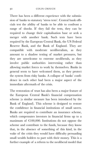There has been a different experience with the submis‐ sion of banks to statutory 'stress tests'. Central bank officials test the ability of banks to be able to confront a range of shocks. If they fail the tests, they can be required to change their capitalisation base or seek a merger with another bank. Such tests have been required by the European Central Bank, the US Federal Reserve Bank, and the Bank of England. They are compatible with moderate neoliberalism, as they amount to a shadow testing of market pressures, but they are unwelcome to extreme neoliberals, as they involve public authorities intervening rather than allowing market forces to work by themselves. Banks in general seem to have welcomed them, as they protect the system from risky banks. A collapse of banks' confi‐ dence in each other had been a major aspect of the immediate aftermath of the crisis.

The restoration of trust has also been a major feature of the European Central Bank's financial compensation scheme (a similar measure has been introduced by the Bank of England). This scheme is designed to restore the confidence in financial institutions of small savers. Banks are required to contribute an insurance scheme, which compensates investors in financial firms up to a maximum of €100,000. Institutions do not oppose the scheme and contribute to the funds, because they know that, in the absence of something of this kind, in the wake of the crisis they would have difficulty persuading small wealth holders to part with their money. This is a further example of a reform to the neoliberal model that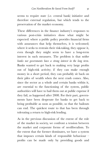seems to require state (i.e. central bank) initiative and therefore external regulation, but which tends to the preservation of the market economy.

These differences in the finance industry's responses to various post-crisis initiatives show what might be expected: where a public policy provides financial firms with assurances that help themselves, it is welcomed; where it seeks to restrain their risk-taking, they oppose it, even though they might seem to have a long-term interest in such measures. The problem is that *neither banks nor governments have a strong interest in the long term*. Banks wanted to get back to making very large profits out of high-risk activity; if they can make enough money in a short period, they can probably sit back on their piles of wealth when the next crash comes. Also, since the sector as a whole and certain banks within it, are essential to the functioning of the system, public authorities will have to bail them out at public expense if they fail, as happened after 2008. For their part, govern‐ ments have been desperate for banks to get back to being profitable as soon as possible, so that the bailouts can end. The quickest route to that has been through tolerating a return to high-risk lending.

As in the previous discussion of the extent of the role of the market in society, we confront a tension between the market and corporate forms of neoliberalism. To the extent that the former dominates, we have a system that imposes certain kinds of responsible behaviour – profits can be made only by providing goods and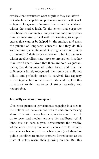services that consumers want at prices they can afford – but which is incapable of producing measures that will safeguard longer-term interests that cannot be achieved within the market itself. To the extent that corporate neoliberalism dominates, corporations may sometimes have an incentive to deal with externalities, to support causes that cannot be helped by the market, and assist the pursuit of long-term concerns. But they do this without any systematic market or regulatory constraints on pursuit of their selfish concerns. This incoherence within neoliberalism may serve to strengthen it rather than tear it apart. Given that there are no rules guaran‐ teeing the dominance of either form, and that the difference is barely recognised, the system can shift and adjust, and probably ensure its survival. But capacity for strategic action remains weak. We shall explore this in relation to the two issues of rising inequality and xenophobia.

#### **Inequality and mass consumption**

One consequence of governments engaging in a race to the bottom over taxation has been to shift an increasing share of taxation away from corporations and the rich on to lower and medium earners. For neoliberals of all kinds this has been a great achievement: the wealthy, whose interests they are mainly concerned to protect, are able to become richer, while taxes (and therefore public spending) are under pressures for reduction as the mass of voters resent their growing burden. But this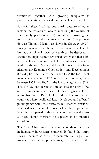resentment together with growing inequality is presenting certain major risks to the neoliberal model.

Partly for these fiscal reasons, partly because of other factors, the rewards of wealth (including the salaries of very highly paid executives) are already growing far more rapidly than the incomes of the rest of the population, as Thomas Piketty has shown in *Capital in the 21st Century*. Politically this change further favours neoliberal‐ ism, as the political power of wealth can be deployed to ensure that high incomes are taxed lightly and that business regulation is relaxed to help the interests of wealth holders. Michael Förster and his colleagues at the Organization for Economic Cooperation and Development (OECD) have calculated that in the USA the top 1% of income earners took 47% of total economic growth between 1979 and 2007. In the UK the figure was 26%. The OECD had access to similar data for only a few other (European) countries, but these suggest a lower figure, from 4 to 11%. The US and the UK are the two countries where neoliberal ideas developed and affected public policy with least restraint, but there is consider‐ able evidence that similar policies have been spreading. What has happened in those two countries over the past 30 years should therefore be expected to be imitated elsewhere.

The OECD has probed the reasons for these increases in inequality in western countries. It found that large rises in incomes have been concentrated among senior managers and some professionals, particularly in the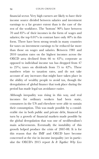financial sector. Very high earners are likely to have their income source divided between salaries and investment earnings to a far greater extent than is the case of the rest of the workforce. The 'bottom' 90% have between 70 and 85% of their incomes in the form of wages and salaries; the top  $0.01\%$  in contrast have only  $40\%$  in this form. There have been strong trends in many countries for taxes on investment earnings to be reduced far more than those on wages and salaries. Between 1981 and 2010 taxation rates on the highest incomes across the OECD area declined from 66 to 42%; corporate as opposed to individual income tax has dropped from 47 to  $25\%$ ; taxes on dividends from 75 to  $42\%$ . These numbers relate to taxation rates, and do not take account of any increases that might have taken place in the ability of wealthy people to avoid tax, though the deregulation of global finance that took place during the period has made legal tax avoidance easier.

Although inequality was rising in this way, and real incomes for ordinary workers had been static, consumers in the US and elsewhere were able to sustain their consumption. This was made possible by a consid‐ erable rise in both public and private debt, financed in turn by a growth of financial markets made possible by the global deregulation that was one of neoliberalism's main achievements. Eventually the instability of this growth helped produce the crisis of 2007-08. It is for this reason that the IMF and OECD have become concerned at the rise in income inequality (see in particular the OECD's 2015 report *In It Together: Why Less*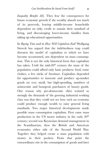*Inequality Benefits All)*. They fear the consequences for future economic growth if the wealthy absorb too much of its proceeds, leaving middle-income households dependent on risky credit to sustain their standard of living, and discouraging lower-income families from taking up educational opportunities.

In *Buying Time* and in *How Will Capitalism End?* Wolfgang Streeck has argued that the indebtedness trap could threaten the model of capitalism to which we have become accustomed, one dependent on mass consump‐ tion. This is not the only historical form that capitalism has taken. Until the mid-20<sup>th</sup> century the mass of the population could afford only basic products: food, some clothes, a few sticks of furniture. Capitalists depended for opportunities to innovate and produce up-market goods on very small, but high-spending, numbers of aristocratic and bourgeois purchasers of luxury goods. One reason why pre-democratic elites resisted so strongly the demands of the growing industrial working class was that they could not see how such an economy could produce enough wealth to raise general living standards. Two major historical developments made possible mass consumption capitalism. First came mass production in the US motor industry in the early 20<sup>th</sup> century; second was Keynesian demand management in the Scandinavian, then the British and American economies either side of the Second World War. Together they helped create a mass population with money in their pockets. From that point the extraordinary rise in the consumption of goods and later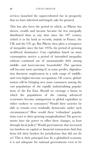services launched the unprecedented rise in prosperity that we have inherited and largely take for granted.

This has also been the period in which, as Piketty has shown, wealth and income became far less unequally distributed than at any time since the 18<sup>th</sup> century (which is as far back as records, mainly in France, the UK and the US) go. But Piketty then plots a resurgence of inequality since the late 1970s, the period of growing neoliberal dominance. Can capitalism based on mass consumption survive a period of intensified inequality without continued use of unsustainable debt among middle- and lower-income households? The question will become more pressing if, as some predict, digitalisation threatens employment in a wide range of middleand even higher-income occupations. Of course, global‐ isation will be bringing new mass consumers among the vast populations of the rapidly industrialising popula‐ tions of the Far East. Should we envisage a future in which the populations of the existing advanced economies become unimportant to global capitalism as either workers or consumers? Would their societies be able to remain even residually democratic under such circumstances? How would these 'redundant' popula‐ tions react to their growing marginalisation? Do govern‐ ments have the power to offset these changes, at least through fiscal policy? Would governments that increased tax burdens on capital or financial transactions find that firms left their borders for jurisdictions that did not do so? This is their principal fear. In a globalised economy it is not adequate for national governments even to be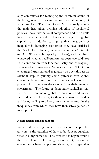only committees for managing the common affairs of the bourgeoisie if they can manage those affairs only at a national level. The OECD and IMF – initially among the main institutions pressing adoption of neoliberal policies - have international competence and their staffs have already perceived the long-term dangers to global capitalism. In addition to arguing that the growth of inequality is damaging economies, they have criticised the Basel reforms for staying too close to banks' interests (see OECD research paper by P. Slovik); and they have wondered whether neoliberalism has been 'oversold' (see IMF contribution from Jonathan Ostry and colleagues). In *International Regulatory Co-operation* the OECD has encouraged transnational regulatory co-operation as an essential step to gaining some purchase over global economic behaviour. But these bodies lack executive power, which they can derive only from their member governments. The future of democratic capitalism may well depend on major global corporations and superrich individuals listening to these international bodies and being willing to allow governments to restrain the inequalities from which they have themselves gained so much profit.

### **Neoliberalism and xenophobia**

We are already beginning to see one of the possible answers to the question of how redundant populations react to marginalisation. The process has begun around the peripheries of many, even most, advanced economies, where people are showing an anger that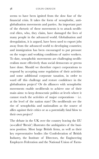seems to have been ignited from the slow fuse of the financial crisis. It takes the form of xenophobic, antiglobalisation movements and parties. An important part of the rhetoric of these movements is to attack neolib‐ eral elites, who, they claim, have damaged the lives of many people in the advanced world. Globalisation and deregulation, it is argued, have been used to export jobs away from the advanced world to developing countries; and immigration has been encouraged to put pressure on the wages and working conditions of native workers. To date, xenophobic movements are challenging neolib‐ eralism more effectively than social democrats or greens have done. Should we therefore expect corporations to respond by accepting some regulation of their activities and some additional corporate taxation, in order to ward off this challenge and restore confidence in the globalisation project? Or do alliances with xenophobic movements enable neoliberals to achieve one of their main aims: to keep democratic politics at levels where it cannot reach the activities of major corporations – i.e. at the level of the nation state? Do neoliberals see the rise of xenophobia and nationalism as the source of allies against their critics or as a potentially fatal blow to their own project?

The debate in the UK over the country leaving the EU (so-called 'Brexit') illustrates the ambiguities of the busi‐ ness position. Most large British firms, as well as their key representative bodies (the Confederation of British Industry, the Institute of Directors, the Engineering Employers Federation and the National Union of Farm‐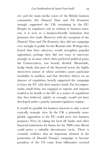ers) and the main media voices of the British business community (the *Financial Times* and *The Economist)* strongly supported the UK remaining in the EU. Despite its regulatory role in relation to business inter‐ ests, it is seen as a business-friendly institution that promotes free trade. However, with the exception of the *Financial Times* and *The Economist,* they did not campaign very strongly in public for the Remain side. Perhaps they feared that their advocacy would strengthen populist opposition; perhaps they did not want to intervene strongly in an issue where their preferred political party, the Conservatives, was heavily divided. Meanwhile, hedge funds, that part of the financial sector, the highly short-term nature of whose activities causes particular instability in markets, and that therefore thrives on an absence of regulation, heavily supported the campaign to leave the EU with their massive funds. Far less impor‐ tantly, small firms not engaged in exports and imports tended to be hostile to the EU as a source of regulations that they believed, rightly or wrongly, would not have developed under a purely national regulatory regime.

It would be possible for business interests to take a more cynically strategic view. In the UK a primarily xeno‐ phobic opposition to the EU could serve two business purposes. First, by taking the heat off banks and other financial institutions for blame for the 2008 crisis, Brexit could prove a valuable diversionary tactic. There is certainly evidence that an important element in the promotion of Donald Trump's campaign to become president of the US came from billionaires worried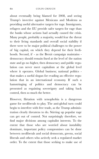about eventually being blamed for 2008, and seeing Trump's invective against Mexicans and Moslems as providing useful alternative targets for rage. Immigrants, refugees and the EU provide safer targets for rage than the banks whose actions had actually caused the crisis. Many people, probably a majority, would fear the threat to their living standards and overall social stability if there were to be major political challenges to the power of big capital, on which they depend for their liveli‐ hoods. Second, if - as the Brexit campaign maintains democracy should remain fixed at the level of the nation state and go no higher, then democracy and public regulation can never meet capitalism at the global level where it operates. Global business; national politics that makes a useful slogan for evading an effective regulation that in an international economy. If such a hamstringing of politics and democracy can be presented as regaining sovereignty and taking back control, then so much the better.

However, flirtation with xenophobia is a dangerous game for neoliberals to play. The anti-global turn could begin to interfere with free trade, as the Trump adminis‐ tration clearly threatens to do. Stirring up popular rage can get out of control. Not surprisingly therefore, we find major divisions among capitalist interests. To the extent that those who are worried about instability dominate, important policy compromises can be done between neoliberals and social democrats, greens, social liberals and others who actively seek a regulated market order. To the extent that those seeking to make use of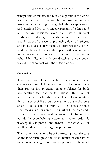xenophobia dominate, the more dangerous is the world likely to become. There will be no progress on such issues as climate change and global labour exploitation, and continued low-level encouragement of ethnic and other cultural tensions. Given that crises of different kinds are producing major shocks in predominately Islamic parts of the world, producing flows of refugees and isolated acts of terrorism, the prospects for a secure world are bleak. These events impact further on opinion in the advanced countries, encouraging further intercultural hostility and widespread desires to close coun‐ tries off from contact with the outside world.

## **Conclusion**

This discussion of how neoliberal governments and corporations are likely to confront the dilemmas facing their project has revealed major problems for both neoliberalism itself and for its relations with the rest of society. Is the market the form of social organisation that all aspects of life should seek to join, or should some areas of life be kept free from it? If the former, through what means is extension of the market to be enforced? If the latter, what protects those areas of life that remain outside the overwhelmingly dominant market order? Is it acceptable if part of the answer is the good will of wealthy individuals and large corporations?

The market is unable to be self-correcting and take care of the long term, given the global nature of such issues as climate change and over-sophisticated financial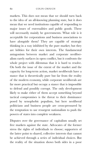markets. This does not mean that we should turn back to the idea of an all-knowing planning state, but it does mean that we need institutions capable of responding to major issues of externalities and public goods. These will necessarily mainly be governments. What role is it acceptable for corporations and business associations to have alongside them? They are capable of strategic thinking in a way inhibited by the pure market; but they are lobbies for their own interests. The fundamental antagonism between market and corporate neoliber‐ alism rarely surfaces in open conflict, but it confronts the whole project with dilemmas that it is hard to resolve. On both the issue of the extent of the market and the capacity for long-term action, market neoliberals have a stance that is theoretically pure but far from the reality of the modern economy, while corporate neoliberals are far more practical but occupy a stance that is impossible to defend and possibly corrupt. The only development likely to make either of them accept something beyond tactical compromises is the threat to their dominance posed by xenophobic populism, but here neoliberal politicians and business people are cross-pressured by the temptation to use resurgent nationalism to push the powers of states into complete weakness.

Disputes over the governance of capitalism usually set free markets against the state. Advocates of the former stress the rights of individuals to choose; supporters of the latter point to shared, collective interests that cannot be achieved through a series of individual choices. But the reality of the situation shows both sides in a poor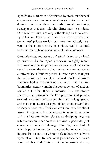light. Many markets are dominated by small numbers of corporations who do not so much respond to customers' demands as shape those demands through marketing strategies so that they suit what firms want to produce. On the other hand, not only is the state prey to takeover by politicians keen to advance their own careers and (sometimes) private wealth, but more immediately rele‐ vant to the present study, in a global world national states cannot truly represent general public interests.

Certainly states represent a *collective* interest, as do local governments. In that capacity they can do highly impor‐ tant work, representing the public concerns of their citizens. However, the claim that the nation state represents a universality, a limitless general interest rather than just the collective interests of a defined territorial group becomes highly questionable the more that national boundaries cannot contain the consequences of actions carried out within those boundaries. This has always been true; in particular the European colonial powers secured economic advantages for their ruling groups and mass populations through military conquest and the robbery of resources. Today we are more sensitive about issues of this kind, but governments as much as firms and markets are major players at dumping negative externalities on other parts of the world, particularly of course environmental damage. Our high standard of living is partly boosted by the availability of very cheap imports from countries where workers have virtually no rights at all. Only transnational governance can tackle issues of this kind. This is not an impossible dream;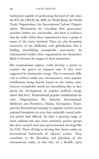institutions capable of performing this kind of role exist: the EU, the OECD, the IMF, the World Bank, the World Trade Organisation, the International Labour Organi‐ sation. Mechanisms for extending their governance activities further are conceivable, and there is evidence that the staffs within these organisations have a grasp of many of the issues involved. They are also becoming awareness of the disillusion with globalisation that is fuelling destabilising xenophobic movements. As transnational bodies, these organisations are themselves likely to become the targets of these sentiments.

But transnational regimes could develop a power to counter the power of business only if they were supported by democratic energy. This is extremely difficult to achieve under any circumstances, most popular mobilisation being heavily based on the nation state. Current xenophobic trends are intensifying this, as they *prevent* the development of popular political energy above that level. Transnational popular mobilisations do exist. Organisations like Amnesty International, Médécins sans Frontières, Oxfam, Greenpeace, Trans‐ parency International manage to organise actions across national boundaries in ways that nationally rooted polit‐ ical parties find difficult. So does a growing range of more militant but also more transitory protest groups like those around most inter-governmental meetings like the G20. These all help to develop that elusive entity, an international framework of citizens' actions. They contribute to the liberalism and pluralism of the international realm, in that they set a flexible, open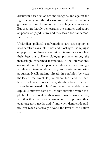discussion-based set of actions alongside and against the rigid secrecy of the discussions that go on among governments and between them and large corporations. But they are hardly democratic; the number and range of people engaged is tiny and they lack a formal democ‐ ratic mandate.

Unfamiliar political confrontations are developing as neoliberalism runs into crises and blockages. Campaigns of popular mobilisation against capitalism's excesses find their best but unlikely dialogue partners among the increasingly concerned technocrats in the international organisations. These people confront an increasingly anti-liberal form of democracy and anti-humanitarian populism. Neoliberalism, already in confusion between the lack of realism of its pure market form and the inco‐ herence of its corporate form, stands between the two. It can be reformed only if and when the world's major capitalist interests come to see that flirtation with xeno‐ phobic forces threatens their own longer-term interests; and that their own short-term actions compromise their own long-term needs; and if and when democratic poli‐ tics can reach effectively beyond the level of the nation state.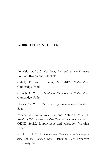# **WORKS CITED IN THE TEXT**

Bonefeld, W. 2017. *The Strong State and the Free Economy.* London: Rowan and Littlefield.

Cahill, D. and Konings, M. 2017. *Neoliberalism.* Cambridge: Polity.

Crouch, C. 2011. *The Strange Non-Death of Neoliberalism.* Cambridge: Polity.

Davies, W. 2015. *The Limits of Neoliberalism.* London: Sage.

Förster, M., Llena-Nozal, A. and Nafilyan, V. 2014. *Trends in Top Incomes and their Taxation in OECD Countries.* OECD Social, Employment and Migration Working Paper 159.

Frank, R. H. 2011. *The Darwin Economy: Liberty, Competi‐ tion, and the Common Good.* Princeton NY: Princeton University Press.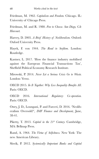Friedman, M. 1962. *Capitalism and Freedom.* Chicago. IL: University of Chicago Press.

Friedman, M. and R. 1980. *Free to Choose*. *San Diego, CA: Harcourt.*

Harvey, D. 2005. *A Brief History of Neoliberalism.* Oxford: Oxford University Press.

Hayek, F. von 1944. *The Road to Serfdom.* London: Routledge.

Kastner, L. 2017. 'How the finance industry mobilised against the European Financial Transactions Tax', Sheffield Political Economy Research Institute.

Mirowski, P. 2014. *Never Let a Serious Crisis Go to Waste.* London: Verso.

OECD 2015. *In It Together: Why Less Inequality Benefits All*. Paris: OECD.

OECD 2016. *International Regulatory Co-operation.* Paris: OECD.

Ostry, J. D., Loungani, P. and Furceri, D. 2016. 'Neolib‐ eralism Oversold?', *IMF Finance and Development,* June, 38-41.

Piketty, T. 2013. *Capital in the 21st Century*. Cambridge, MA: Belknap Press.

Rand, A. 1964. *The Virtue of Selfishness.* New York: The new American Library.

Slovik, P. 2012. *Systemically Important Banks and Capital*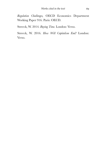*Regulation Challenges,* OECD Economics Department Working Paper 916. Paris: OECD.

Streeck, W. 2014. *Buying Time.* London: Verso.

Streeck, W. 2016. *How Will Capitalism End?* London: Verso.